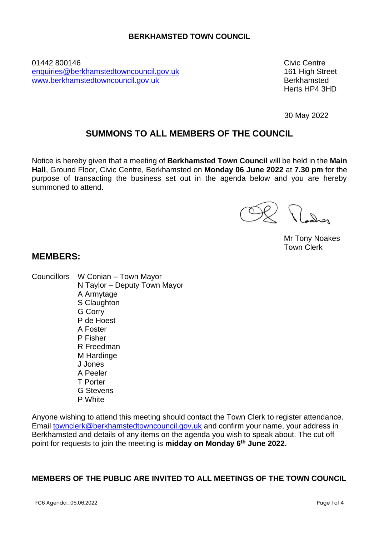### **BERKHAMSTED TOWN COUNCIL**

01442 800146 Civic Centre [enquiries@berkhamstedtowncouncil.gov.uk](mailto:enquiries@berkhamstedtowncouncil.gov.uk) 161 High Street [www.berkhamstedtowncouncil.gov.uk](http://www.berkhamstedtowncouncil.gov.uk/) Berkhamsted

Herts HP4 3HD

30 May 2022

# **SUMMONS TO ALL MEMBERS OF THE COUNCIL**

Notice is hereby given that a meeting of **Berkhamsted Town Council** will be held in the **Main Hall**, Ground Floor, Civic Centre, Berkhamsted on **Monday 06 June 2022** at **7.30 pm** for the purpose of transacting the business set out in the agenda below and you are hereby summoned to attend.

Ladres

Mr Tony Noakes Town Clerk

# **MEMBERS:**

Councillors W Conian – Town Mayor N Taylor – Deputy Town Mayor A Armytage S Claughton G Corry P de Hoest A Foster P Fisher R Freedman M Hardinge J Jones A Peeler T Porter G Stevens P White

Anyone wishing to attend this meeting should contact the Town Clerk to register attendance. Email [townclerk@berkhamstedtowncouncil.gov.uk](mailto:townclerk@berkhamstedtowncouncil.gov.uk) and confirm your name, your address in Berkhamsted and details of any items on the agenda you wish to speak about. The cut off point for requests to join the meeting is **midday on Monday 6th June 2022.**

# **MEMBERS OF THE PUBLIC ARE INVITED TO ALL MEETINGS OF THE TOWN COUNCIL**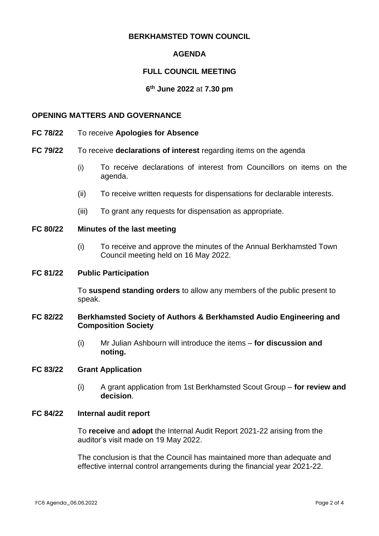### **BERKHAMSTED TOWN COUNCIL**

# **AGENDA**

## **FULL COUNCIL MEETING**

#### **6 th June 2022** at **7.30 pm**

#### **OPENING MATTERS AND GOVERNANCE**

- **FC 78/22** To receive **Apologies for Absence**
- **FC 79/22** To receive **declarations of interest** regarding items on the agenda
	- (i) To receive declarations of interest from Councillors on items on the agenda.
	- (ii) To receive written requests for dispensations for declarable interests.
	- (iii) To grant any requests for dispensation as appropriate.
- **FC 80/22 Minutes of the last meeting**
	- (i) To receive and approve the minutes of the Annual Berkhamsted Town Council meeting held on 16 May 2022.

#### **FC 81/22 Public Participation**

To **suspend standing orders** to allow any members of the public present to speak.

#### **FC 82/22 Berkhamsted Society of Authors & Berkhamsted Audio Engineering and Composition Society**

(i) Mr Julian Ashbourn will introduce the items – **for discussion and noting.**

#### **FC 83/22 Grant Application**

(i) A grant application from 1st Berkhamsted Scout Group – **for review and decision**.

#### **FC 84/22 Internal audit report**

To **receive** and **adopt** the Internal Audit Report 2021-22 arising from the auditor's visit made on 19 May 2022.

The conclusion is that the Council has maintained more than adequate and effective internal control arrangements during the financial year 2021-22.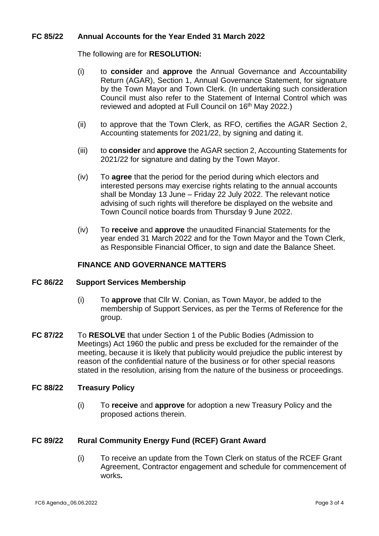### **FC 85/22 Annual Accounts for the Year Ended 31 March 2022**

The following are for **RESOLUTION:**

- (i) to **consider** and **approve** the Annual Governance and Accountability Return (AGAR), Section 1, Annual Governance Statement, for signature by the Town Mayor and Town Clerk. (In undertaking such consideration Council must also refer to the Statement of Internal Control which was reviewed and adopted at Full Council on 16<sup>th</sup> May 2022.)
- (ii) to approve that the Town Clerk, as RFO, certifies the AGAR Section 2, Accounting statements for 2021/22, by signing and dating it.
- (iii) to **consider** and **approve** the AGAR section 2, Accounting Statements for 2021/22 for signature and dating by the Town Mayor.
- (iv) To **agree** that the period for the period during which electors and interested persons may exercise rights relating to the annual accounts shall be Monday 13 June – Friday 22 July 2022. The relevant notice advising of such rights will therefore be displayed on the website and Town Council notice boards from Thursday 9 June 2022.
- (iv) To **receive** and **approve** the unaudited Financial Statements for the year ended 31 March 2022 and for the Town Mayor and the Town Clerk, as Responsible Financial Officer, to sign and date the Balance Sheet.

#### **FINANCE AND GOVERNANCE MATTERS**

#### **FC 86/22 Support Services Membership**

- (i) To **approve** that Cllr W. Conian, as Town Mayor, be added to the membership of Support Services, as per the Terms of Reference for the group.
- **FC 87/22** To **RESOLVE** that under Section 1 of the Public Bodies (Admission to Meetings) Act 1960 the public and press be excluded for the remainder of the meeting, because it is likely that publicity would prejudice the public interest by reason of the confidential nature of the business or for other special reasons stated in the resolution, arising from the nature of the business or proceedings.

#### **FC 88/22 Treasury Policy**

(i) To **receive** and **approve** for adoption a new Treasury Policy and the proposed actions therein.

### **FC 89/22 Rural Community Energy Fund (RCEF) Grant Award**

(i) To receive an update from the Town Clerk on status of the RCEF Grant Agreement, Contractor engagement and schedule for commencement of works**.**